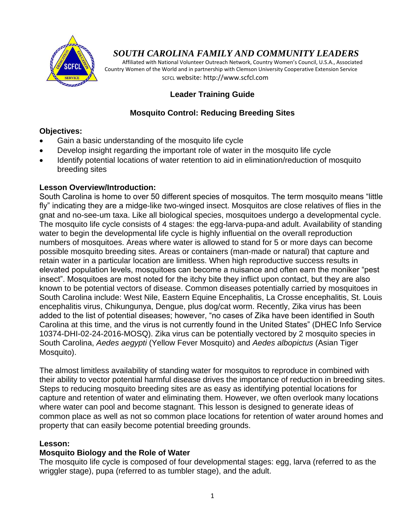

# *SOUTH CAROLINA FAMILY AND COMMUNITY LEADERS*

 Affiliated with National Volunteer Outreach Network, Country Women's Council, U.S.A., Associated Country Women of the World and in partnership with Clemson University Cooperative Extension Service SCFCL website: http://www.scfcl.com

## **Leader Training Guide**

### **Mosquito Control: Reducing Breeding Sites**

### **Objectives:**

- Gain a basic understanding of the mosquito life cycle
- Develop insight regarding the important role of water in the mosquito life cycle
- Identify potential locations of water retention to aid in elimination/reduction of mosquito breeding sites

### **Lesson Overview/Introduction:**

South Carolina is home to over 50 different species of mosquitos. The term mosquito means "little fly" indicating they are a midge-like two-winged insect. Mosquitos are close relatives of flies in the gnat and no-see-um taxa. Like all biological species, mosquitoes undergo a developmental cycle. The mosquito life cycle consists of 4 stages: the egg-larva-pupa-and adult. Availability of standing water to begin the developmental life cycle is highly influential on the overall reproduction numbers of mosquitoes. Areas where water is allowed to stand for 5 or more days can become possible mosquito breeding sites. Areas or containers (man-made or natural) that capture and retain water in a particular location are limitless. When high reproductive success results in elevated population levels, mosquitoes can become a nuisance and often earn the moniker "pest insect". Mosquitoes are most noted for the itchy bite they inflict upon contact, but they are also known to be potential vectors of disease. Common diseases potentially carried by mosquitoes in South Carolina include: West Nile, Eastern Equine Encephalitis, La Crosse encephalitis, St. Louis encephalitis virus, Chikungunya, Dengue, plus dog/cat worm. Recently, Zika virus has been added to the list of potential diseases; however, "no cases of Zika have been identified in South Carolina at this time, and the virus is not currently found in the United States" (DHEC Info Service 10374-DHI-02-24-2016-MOSQ). Zika virus can be potentially vectored by 2 mosquito species in South Carolina, *Aedes aegypti* (Yellow Fever Mosquito) and *Aedes albopictus* (Asian Tiger Mosquito).

The almost limitless availability of standing water for mosquitos to reproduce in combined with their ability to vector potential harmful disease drives the importance of reduction in breeding sites. Steps to reducing mosquito breeding sites are as easy as identifying potential locations for capture and retention of water and eliminating them. However, we often overlook many locations where water can pool and become stagnant. This lesson is designed to generate ideas of common place as well as not so common place locations for retention of water around homes and property that can easily become potential breeding grounds.

### **Lesson:**

### **Mosquito Biology and the Role of Water**

The mosquito life cycle is composed of four developmental stages: egg, larva (referred to as the wriggler stage), pupa (referred to as tumbler stage), and the adult.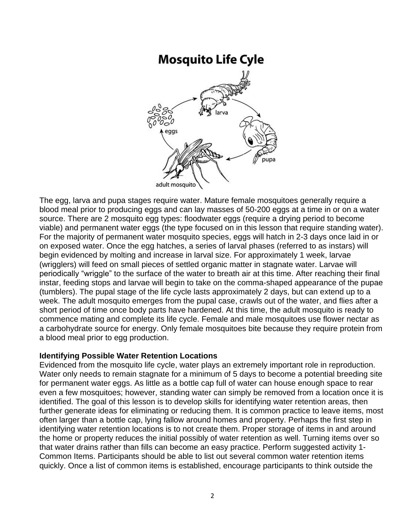# **Mosquito Life Cyle**



The egg, larva and pupa stages require water. Mature female mosquitoes generally require a blood meal prior to producing eggs and can lay masses of 50-200 eggs at a time in or on a water source. There are 2 mosquito egg types: floodwater eggs (require a drying period to become viable) and permanent water eggs (the type focused on in this lesson that require standing water). For the majority of permanent water mosquito species, eggs will hatch in 2-3 days once laid in or on exposed water. Once the egg hatches, a series of larval phases (referred to as instars) will begin evidenced by molting and increase in larval size. For approximately 1 week, larvae (wrigglers) will feed on small pieces of settled organic matter in stagnate water. Larvae will periodically "wriggle" to the surface of the water to breath air at this time. After reaching their final instar, feeding stops and larvae will begin to take on the comma-shaped appearance of the pupae (tumblers). The pupal stage of the life cycle lasts approximately 2 days, but can extend up to a week. The adult mosquito emerges from the pupal case, crawls out of the water, and flies after a short period of time once body parts have hardened. At this time, the adult mosquito is ready to commence mating and complete its life cycle. Female and male mosquitoes use flower nectar as a carbohydrate source for energy. Only female mosquitoes bite because they require protein from a blood meal prior to egg production.

### **Identifying Possible Water Retention Locations**

Evidenced from the mosquito life cycle, water plays an extremely important role in reproduction. Water only needs to remain stagnate for a minimum of 5 days to become a potential breeding site for permanent water eggs. As little as a bottle cap full of water can house enough space to rear even a few mosquitoes; however, standing water can simply be removed from a location once it is identified. The goal of this lesson is to develop skills for identifying water retention areas, then further generate ideas for eliminating or reducing them. It is common practice to leave items, most often larger than a bottle cap, lying fallow around homes and property. Perhaps the first step in identifying water retention locations is to not create them. Proper storage of items in and around the home or property reduces the initial possibly of water retention as well. Turning items over so that water drains rather than fills can become an easy practice. Perform suggested activity 1- Common Items. Participants should be able to list out several common water retention items quickly. Once a list of common items is established, encourage participants to think outside the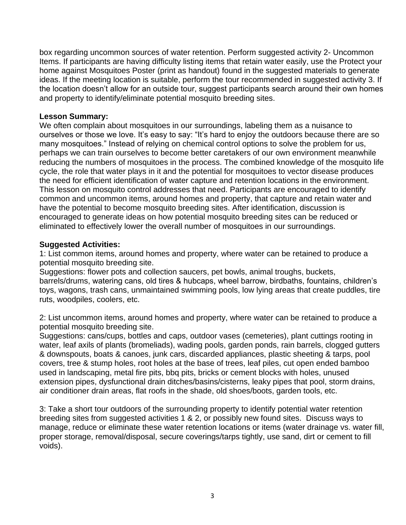box regarding uncommon sources of water retention. Perform suggested activity 2- Uncommon Items. If participants are having difficulty listing items that retain water easily, use the Protect your home against Mosquitoes Poster (print as handout) found in the suggested materials to generate ideas. If the meeting location is suitable, perform the tour recommended in suggested activity 3. If the location doesn't allow for an outside tour, suggest participants search around their own homes and property to identify/eliminate potential mosquito breeding sites.

### **Lesson Summary:**

We often complain about mosquitoes in our surroundings, labeling them as a nuisance to ourselves or those we love. It's easy to say: "It's hard to enjoy the outdoors because there are so many mosquitoes." Instead of relying on chemical control options to solve the problem for us, perhaps we can train ourselves to become better caretakers of our own environment meanwhile reducing the numbers of mosquitoes in the process. The combined knowledge of the mosquito life cycle, the role that water plays in it and the potential for mosquitoes to vector disease produces the need for efficient identification of water capture and retention locations in the environment. This lesson on mosquito control addresses that need. Participants are encouraged to identify common and uncommon items, around homes and property, that capture and retain water and have the potential to become mosquito breeding sites. After identification, discussion is encouraged to generate ideas on how potential mosquito breeding sites can be reduced or eliminated to effectively lower the overall number of mosquitoes in our surroundings.

### **Suggested Activities:**

1: List common items, around homes and property, where water can be retained to produce a potential mosquito breeding site.

Suggestions: flower pots and collection saucers, pet bowls, animal troughs, buckets, barrels/drums, watering cans, old tires & hubcaps, wheel barrow, birdbaths, fountains, children's toys, wagons, trash cans, unmaintained swimming pools, low lying areas that create puddles, tire ruts, woodpiles, coolers, etc.

2: List uncommon items, around homes and property, where water can be retained to produce a potential mosquito breeding site.

Suggestions: cans/cups, bottles and caps, outdoor vases (cemeteries), plant cuttings rooting in water, leaf axils of plants (bromeliads), wading pools, garden ponds, rain barrels, clogged gutters & downspouts, boats & canoes, junk cars, discarded appliances, plastic sheeting & tarps, pool covers, tree & stump holes, root holes at the base of trees, leaf piles, cut open ended bamboo used in landscaping, metal fire pits, bbq pits, bricks or cement blocks with holes, unused extension pipes, dysfunctional drain ditches/basins/cisterns, leaky pipes that pool, storm drains, air conditioner drain areas, flat roofs in the shade, old shoes/boots, garden tools, etc.

3: Take a short tour outdoors of the surrounding property to identify potential water retention breeding sites from suggested activities 1 & 2, or possibly new found sites. Discuss ways to manage, reduce or eliminate these water retention locations or items (water drainage vs. water fill, proper storage, removal/disposal, secure coverings/tarps tightly, use sand, dirt or cement to fill voids).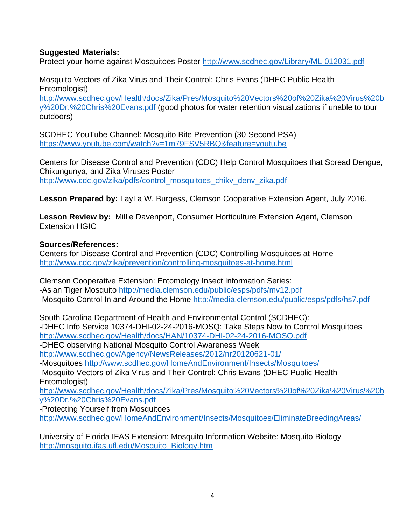### **Suggested Materials:**

Protect your home against Mosquitoes Poster<http://www.scdhec.gov/Library/ML-012031.pdf>

Mosquito Vectors of Zika Virus and Their Control: Chris Evans (DHEC Public Health Entomologist)

[http://www.scdhec.gov/Health/docs/Zika/Pres/Mosquito%20Vectors%20of%20Zika%20Virus%20b](http://www.scdhec.gov/Health/docs/Zika/Pres/Mosquito%20Vectors%20of%20Zika%20Virus%20by%20Dr.%20Chris%20Evans.pdf) [y%20Dr.%20Chris%20Evans.pdf](http://www.scdhec.gov/Health/docs/Zika/Pres/Mosquito%20Vectors%20of%20Zika%20Virus%20by%20Dr.%20Chris%20Evans.pdf) (good photos for water retention visualizations if unable to tour outdoors)

SCDHEC YouTube Channel: Mosquito Bite Prevention (30-Second PSA) <https://www.youtube.com/watch?v=1m79FSV5RBQ&feature=youtu.be>

Centers for Disease Control and Prevention (CDC) Help Control Mosquitoes that Spread Dengue, Chikungunya, and Zika Viruses Poster http://www.cdc.gov/zika/pdfs/control\_mosquitoes\_chiky\_denv\_zika.pdf

**Lesson Prepared by:** LayLa W. Burgess, Clemson Cooperative Extension Agent, July 2016.

**Lesson Review by:** Millie Davenport, Consumer Horticulture Extension Agent, Clemson Extension HGIC

### **Sources/References:**

Centers for Disease Control and Prevention (CDC) Controlling Mosquitoes at Home <http://www.cdc.gov/zika/prevention/controlling-mosquitoes-at-home.html>

Clemson Cooperative Extension: Entomology Insect Information Series: -Asian Tiger Mosquito<http://media.clemson.edu/public/esps/pdfs/mv12.pdf> -Mosquito Control In and Around the Home<http://media.clemson.edu/public/esps/pdfs/hs7.pdf>

South Carolina Department of Health and Environmental Control (SCDHEC): -DHEC Info Service 10374-DHI-02-24-2016-MOSQ: Take Steps Now to Control Mosquitoes <http://www.scdhec.gov/Health/docs/HAN/10374-DHI-02-24-2016-MOSQ.pdf>

-DHEC observing National Mosquito Control Awareness Week

<http://www.scdhec.gov/Agency/NewsReleases/2012/nr20120621-01/>

-Mosquitoes<http://www.scdhec.gov/HomeAndEnvironment/Insects/Mosquitoes/>

-Mosquito Vectors of Zika Virus and Their Control: Chris Evans (DHEC Public Health Entomologist)

[http://www.scdhec.gov/Health/docs/Zika/Pres/Mosquito%20Vectors%20of%20Zika%20Virus%20b](http://www.scdhec.gov/Health/docs/Zika/Pres/Mosquito%20Vectors%20of%20Zika%20Virus%20by%20Dr.%20Chris%20Evans.pdf) [y%20Dr.%20Chris%20Evans.pdf](http://www.scdhec.gov/Health/docs/Zika/Pres/Mosquito%20Vectors%20of%20Zika%20Virus%20by%20Dr.%20Chris%20Evans.pdf)

-Protecting Yourself from Mosquitoes

<http://www.scdhec.gov/HomeAndEnvironment/Insects/Mosquitoes/EliminateBreedingAreas/>

University of Florida IFAS Extension: Mosquito Information Website: Mosquito Biology [http://mosquito.ifas.ufl.edu/Mosquito\\_Biology.htm](http://mosquito.ifas.ufl.edu/Mosquito_Biology.htm)